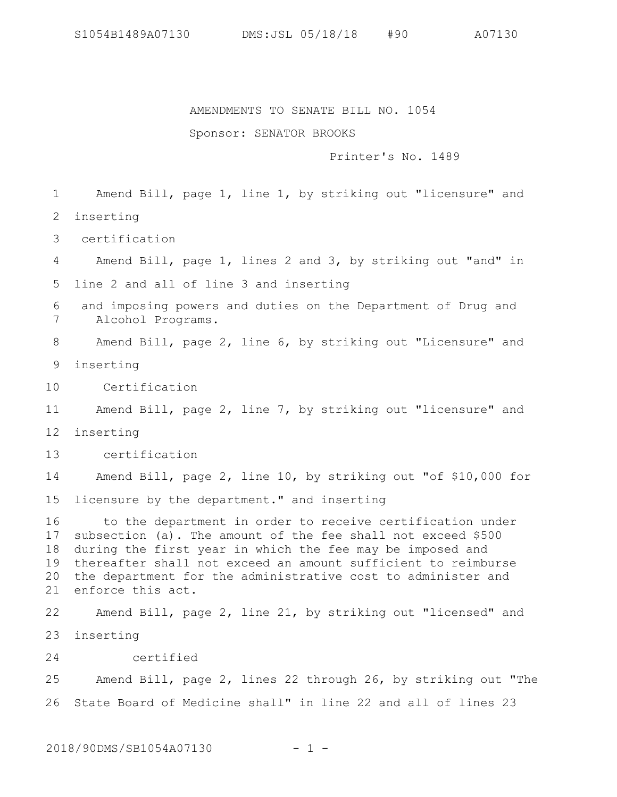AMENDMENTS TO SENATE BILL NO. 1054

Sponsor: SENATOR BROOKS

Printer's No. 1489

Amend Bill, page 1, line 1, by striking out "licensure" and inserting 1 2

 certification 3

Amend Bill, page 1, lines 2 and 3, by striking out "and" in line 2 and all of line 3 and inserting 4 5

 and imposing powers and duties on the Department of Drug and Alcohol Programs. 6 7

Amend Bill, page 2, line 6, by striking out "Licensure" and 8

inserting 9

 Certification 10

Amend Bill, page 2, line 7, by striking out "licensure" and 11

inserting 12

 certification 13

Amend Bill, page 2, line 10, by striking out "of \$10,000 for licensure by the department." and inserting 14 15

 to the department in order to receive certification under subsection (a). The amount of the fee shall not exceed \$500 during the first year in which the fee may be imposed and thereafter shall not exceed an amount sufficient to reimburse the department for the administrative cost to administer and enforce this act. 16 17 18 19 20 21

Amend Bill, page 2, line 21, by striking out "licensed" and inserting 23 22

 certified 24

Amend Bill, page 2, lines 22 through 26, by striking out "The State Board of Medicine shall" in line 22 and all of lines 23 25 26